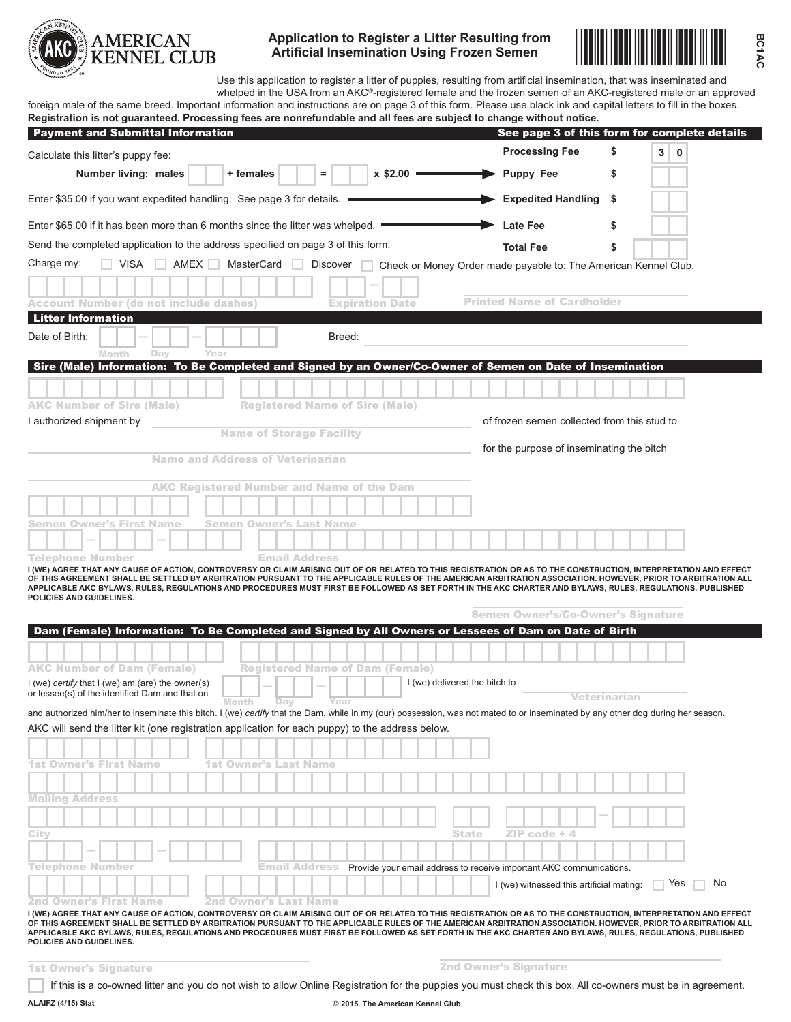

**Application to Register a Litter Resulting from Artificial Insemination Using Frozen Semen**



**BC1AC**

Use this application to register a litter of puppies, resulting from artificial insemination, that was inseminated and whelped in the USA from an AKC®-registered female and the frozen semen of an AKC-registered male or an approved foreign male of the same breed. Important information and instructions are on page 3 of this form. Please use black ink and capital letters to fill in the boxes.

| Registration is not guaranteed. Processing fees are nonrefundable and all fees are subject to change without notice.<br><b>Payment and Submittal Information</b> |                                                  |                                        | See page 3 of this form for complete details                                                                                                                                                                                                                                                                                     |
|------------------------------------------------------------------------------------------------------------------------------------------------------------------|--------------------------------------------------|----------------------------------------|----------------------------------------------------------------------------------------------------------------------------------------------------------------------------------------------------------------------------------------------------------------------------------------------------------------------------------|
| Calculate this litter's puppy fee:                                                                                                                               |                                                  |                                        | <b>Processing Fee</b><br>\$<br>3<br>0                                                                                                                                                                                                                                                                                            |
| Number living: males                                                                                                                                             | + females                                        | $x$ \$2.00 $-$<br>=                    | <b>Puppy Fee</b><br>\$                                                                                                                                                                                                                                                                                                           |
| Enter \$35.00 if you want expedited handling. See page 3 for details.                                                                                            |                                                  |                                        | <b>Expedited Handling</b><br>\$                                                                                                                                                                                                                                                                                                  |
| Enter \$65.00 if it has been more than 6 months since the litter was whelped.                                                                                    |                                                  |                                        | <b>Late Fee</b><br>\$                                                                                                                                                                                                                                                                                                            |
| Send the completed application to the address specified on page 3 of this form.                                                                                  |                                                  |                                        | <b>Total Fee</b><br>\$                                                                                                                                                                                                                                                                                                           |
| Charge my:<br><b>NO</b> VISA<br>AMEX I                                                                                                                           | MasterCard                                       | Discover                               |                                                                                                                                                                                                                                                                                                                                  |
|                                                                                                                                                                  |                                                  |                                        | Check or Money Order made payable to: The American Kennel Club.                                                                                                                                                                                                                                                                  |
| <b>Account Number (do not include dashes)</b>                                                                                                                    |                                                  | <b>Expiration Date</b>                 | <b>Printed Name of Cardholder</b>                                                                                                                                                                                                                                                                                                |
| <b>Litter Information</b>                                                                                                                                        |                                                  |                                        |                                                                                                                                                                                                                                                                                                                                  |
| Date of Birth:                                                                                                                                                   |                                                  | Breed:                                 |                                                                                                                                                                                                                                                                                                                                  |
| Day<br>Month                                                                                                                                                     | Year                                             |                                        |                                                                                                                                                                                                                                                                                                                                  |
|                                                                                                                                                                  |                                                  |                                        | Sire (Male) Information: To Be Completed and Signed by an Owner/Co-Owner of Semen on Date of Insemination                                                                                                                                                                                                                        |
|                                                                                                                                                                  |                                                  |                                        |                                                                                                                                                                                                                                                                                                                                  |
| <b>AKC Number of Sire (Male)</b>                                                                                                                                 |                                                  | <b>Registered Name of Sire (Male)</b>  |                                                                                                                                                                                                                                                                                                                                  |
| I authorized shipment by                                                                                                                                         |                                                  |                                        | of frozen semen collected from this stud to                                                                                                                                                                                                                                                                                      |
|                                                                                                                                                                  | <b>Name of Storage Facility</b>                  |                                        |                                                                                                                                                                                                                                                                                                                                  |
|                                                                                                                                                                  | <b>Name and Address of Veterinarian</b>          |                                        | for the purpose of inseminating the bitch                                                                                                                                                                                                                                                                                        |
|                                                                                                                                                                  |                                                  |                                        |                                                                                                                                                                                                                                                                                                                                  |
|                                                                                                                                                                  | <b>AKC Registered Number and Name of the Dam</b> |                                        |                                                                                                                                                                                                                                                                                                                                  |
|                                                                                                                                                                  |                                                  |                                        |                                                                                                                                                                                                                                                                                                                                  |
| Semen Owner's First Name                                                                                                                                         | Semen Owner's Last Name                          |                                        |                                                                                                                                                                                                                                                                                                                                  |
|                                                                                                                                                                  |                                                  |                                        |                                                                                                                                                                                                                                                                                                                                  |
| Telephone Number                                                                                                                                                 | <b>Email Address</b>                             |                                        |                                                                                                                                                                                                                                                                                                                                  |
| POLICIES AND GUIDELINES.                                                                                                                                         |                                                  |                                        | APPLICABLE AKC BYLAWS, RULES, REGULATIONS AND PROCEDURES MUST FIRST BE FOLLOWED AS SET FORTH IN THE AKC CHARTER AND BYLAWS, RULES, REGULATIONS, PUBLISHED<br><b>Semen Owner's/Co-Owner's Signature</b>                                                                                                                           |
|                                                                                                                                                                  |                                                  |                                        | Dam (Female) Information: To Be Completed and Signed by All Owners or Lessees of Dam on Date of Birth                                                                                                                                                                                                                            |
|                                                                                                                                                                  |                                                  |                                        |                                                                                                                                                                                                                                                                                                                                  |
| <b>AKC Number of Dam (Female)</b>                                                                                                                                |                                                  | <b>Registered Name of Dam (Female)</b> |                                                                                                                                                                                                                                                                                                                                  |
| I (we) certify that I (we) am (are) the owner(s)<br>or lessee(s) of the identified Dam and that on                                                               |                                                  | I (we) delivered the bitch to          | Veterinarian                                                                                                                                                                                                                                                                                                                     |
|                                                                                                                                                                  | Day<br>Month                                     | Year                                   | and authorized him/her to inseminate this bitch. I (we) certify that the Dam, while in my (our) possession, was not mated to or inseminated by any other dog during her season.                                                                                                                                                  |
| AKC will send the litter kit (one registration application for each puppy) to the address below.                                                                 |                                                  |                                        |                                                                                                                                                                                                                                                                                                                                  |
|                                                                                                                                                                  |                                                  |                                        |                                                                                                                                                                                                                                                                                                                                  |
| <b>1st Owner's First Name</b>                                                                                                                                    | <b>1st Owner's Last Name</b>                     |                                        |                                                                                                                                                                                                                                                                                                                                  |
|                                                                                                                                                                  |                                                  |                                        |                                                                                                                                                                                                                                                                                                                                  |
| <b>Mailing Address</b>                                                                                                                                           |                                                  |                                        |                                                                                                                                                                                                                                                                                                                                  |
|                                                                                                                                                                  |                                                  |                                        |                                                                                                                                                                                                                                                                                                                                  |
|                                                                                                                                                                  |                                                  |                                        |                                                                                                                                                                                                                                                                                                                                  |
| City                                                                                                                                                             |                                                  |                                        | <b>State</b><br>ZIP code + 4                                                                                                                                                                                                                                                                                                     |
|                                                                                                                                                                  |                                                  |                                        |                                                                                                                                                                                                                                                                                                                                  |
| <b>Telephone Number</b>                                                                                                                                          | Email Address                                    |                                        | Provide your email address to receive important AKC communications.                                                                                                                                                                                                                                                              |
|                                                                                                                                                                  |                                                  |                                        | No<br>Yes<br>I (we) witnessed this artificial mating:                                                                                                                                                                                                                                                                            |
| 2nd Owner's First Name                                                                                                                                           | 2nd Owner's Last Name                            |                                        |                                                                                                                                                                                                                                                                                                                                  |
|                                                                                                                                                                  |                                                  |                                        | I (WE) AGREE THAT ANY CAUSE OF ACTION, CONTROVERSY OR CLAIM ARISING OUT OF OR RELATED TO THIS REGISTRATION OR AS TO THE CONSTRUCTION, INTERPRETATION AND EFFECT<br>OF THIS AGREEMENT SHALL BE SETTLED BY ARBITRATION PURSUANT TO THE APPLICABLE RULES OF THE AMERICAN ARBITRATION ASSOCIATION. HOWEVER, PRIOR TO ARBITRATION ALL |
| POLICIES AND GUIDELINES.                                                                                                                                         |                                                  |                                        | APPLICABLE AKC BYLAWS, RULES, REGULATIONS AND PROCEDURES MUST FIRST BE FOLLOWED AS SET FORTH IN THE AKC CHARTER AND BYLAWS, RULES, REGULATIONS, PUBLISHED                                                                                                                                                                        |
|                                                                                                                                                                  |                                                  |                                        |                                                                                                                                                                                                                                                                                                                                  |
| <b>1st Owner's Signature</b>                                                                                                                                     |                                                  |                                        | <b>2nd Owner's Signature</b>                                                                                                                                                                                                                                                                                                     |

If this is a co-owned litter and you do not wish to allow Online Registration for the puppies you must check this box. All co-owners must be in agreement.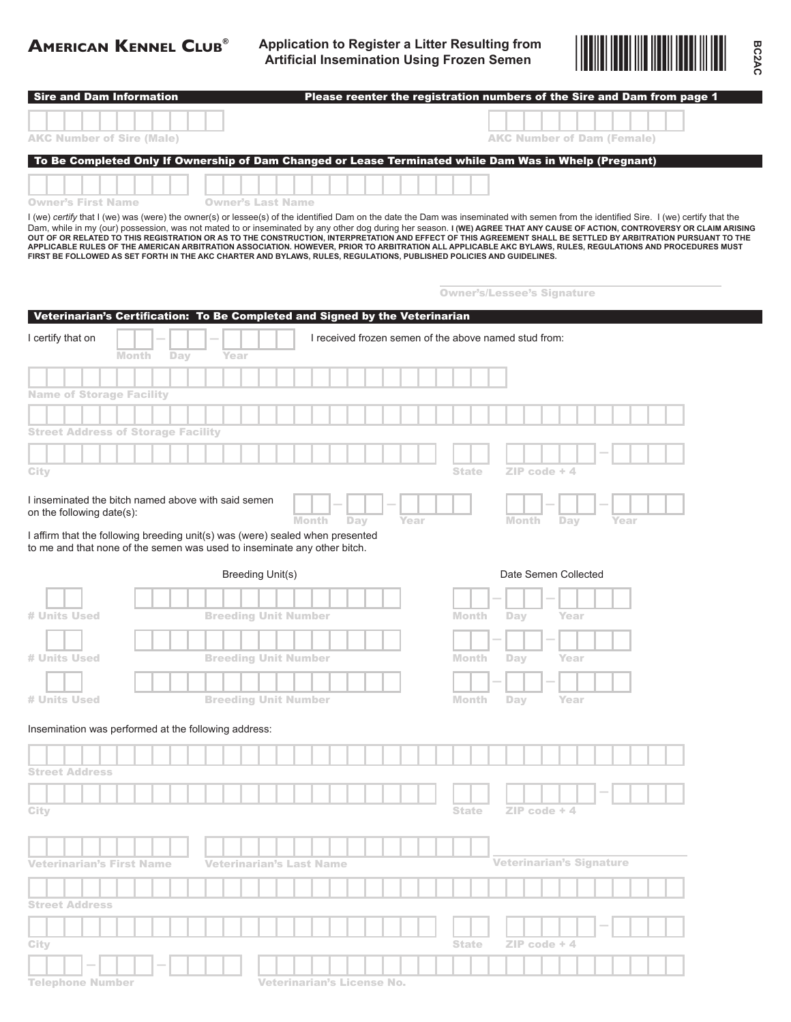# **American Kennel Club®**

**Application to Register a Litter Resulting from Artificial Insemination Using Frozen Semen**



**BC2AC**

| <b>Sire and Dam Information</b>                                               |             |                                                                                                                                                                                                                                                                                                                                                                      |              |                                   | Please reenter the registration numbers of the Sire and Dam from page 1 |
|-------------------------------------------------------------------------------|-------------|----------------------------------------------------------------------------------------------------------------------------------------------------------------------------------------------------------------------------------------------------------------------------------------------------------------------------------------------------------------------|--------------|-----------------------------------|-------------------------------------------------------------------------|
|                                                                               |             |                                                                                                                                                                                                                                                                                                                                                                      |              |                                   |                                                                         |
| <b>AKC Number of Sire (Male)</b>                                              |             |                                                                                                                                                                                                                                                                                                                                                                      |              | <b>AKC Number of Dam (Female)</b> |                                                                         |
|                                                                               |             |                                                                                                                                                                                                                                                                                                                                                                      |              |                                   |                                                                         |
|                                                                               |             | To Be Completed Only If Ownership of Dam Changed or Lease Terminated while Dam Was in Whelp (Pregnant)                                                                                                                                                                                                                                                               |              |                                   |                                                                         |
|                                                                               |             |                                                                                                                                                                                                                                                                                                                                                                      |              |                                   |                                                                         |
| <b>Owner's First Name</b>                                                     |             | <b>Owner's Last Name</b>                                                                                                                                                                                                                                                                                                                                             |              |                                   |                                                                         |
|                                                                               |             | I (we) certify that I (we) was (were) the owner(s) or lessee(s) of the identified Dam on the date the Dam was inseminated with semen from the identified Sire. I (we) certify that the<br>Dam, while in my (our) possession, was not mated to or inseminated by any other dog during her season. I (WE) AGREE THAT ANY CAUSE OF ACTION, CONTROVERSY OR CLAIM ARISING |              |                                   |                                                                         |
|                                                                               |             | OUT OF OR RELATED TO THIS REGISTRATION OR AS TO THE CONSTRUCTION, INTERPRETATION AND EFFECT OF THIS AGREEMENT SHALL BE SETTLED BY ARBITRATION PURSUANT TO THE<br>APPLICABLE RULES OF THE AMERICAN ARBITRATION ASSOCIATION. HOWEVER, PRIOR TO ARBITRATION ALL APPLICABLE AKC BYLAWS, RULES, REGULATIONS AND PROCEDURES MUST                                           |              |                                   |                                                                         |
|                                                                               |             | FIRST BE FOLLOWED AS SET FORTH IN THE AKC CHARTER AND BYLAWS, RULES, REGULATIONS, PUBLISHED POLICIES AND GUIDELINES.                                                                                                                                                                                                                                                 |              |                                   |                                                                         |
|                                                                               |             |                                                                                                                                                                                                                                                                                                                                                                      |              |                                   |                                                                         |
|                                                                               |             |                                                                                                                                                                                                                                                                                                                                                                      |              | <b>Owner's/Lessee's Signature</b> |                                                                         |
|                                                                               |             | Veterinarian's Certification: To Be Completed and Signed by the Veterinarian                                                                                                                                                                                                                                                                                         |              |                                   |                                                                         |
| I certify that on                                                             |             | I received frozen semen of the above named stud from:                                                                                                                                                                                                                                                                                                                |              |                                   |                                                                         |
| <b>Month</b>                                                                  | Day<br>Year |                                                                                                                                                                                                                                                                                                                                                                      |              |                                   |                                                                         |
|                                                                               |             |                                                                                                                                                                                                                                                                                                                                                                      |              |                                   |                                                                         |
|                                                                               |             |                                                                                                                                                                                                                                                                                                                                                                      |              |                                   |                                                                         |
| <b>Name of Storage Facility</b>                                               |             |                                                                                                                                                                                                                                                                                                                                                                      |              |                                   |                                                                         |
|                                                                               |             |                                                                                                                                                                                                                                                                                                                                                                      |              |                                   |                                                                         |
| <b>Street Address of Storage Facility</b>                                     |             |                                                                                                                                                                                                                                                                                                                                                                      |              |                                   |                                                                         |
|                                                                               |             |                                                                                                                                                                                                                                                                                                                                                                      |              |                                   |                                                                         |
| City                                                                          |             |                                                                                                                                                                                                                                                                                                                                                                      | <b>State</b> | $ZIP$ code + 4                    |                                                                         |
| I inseminated the bitch named above with said semen                           |             |                                                                                                                                                                                                                                                                                                                                                                      |              |                                   |                                                                         |
| on the following date(s):                                                     |             |                                                                                                                                                                                                                                                                                                                                                                      |              |                                   |                                                                         |
| I affirm that the following breeding unit(s) was (were) sealed when presented |             | <b>Month</b><br>Year<br>Day                                                                                                                                                                                                                                                                                                                                          |              | Month<br>Day                      | Year                                                                    |
| to me and that none of the semen was used to inseminate any other bitch.      |             |                                                                                                                                                                                                                                                                                                                                                                      |              |                                   |                                                                         |
|                                                                               |             | Breeding Unit(s)                                                                                                                                                                                                                                                                                                                                                     |              | Date Semen Collected              |                                                                         |
|                                                                               |             |                                                                                                                                                                                                                                                                                                                                                                      |              |                                   |                                                                         |
|                                                                               |             |                                                                                                                                                                                                                                                                                                                                                                      |              |                                   |                                                                         |
| # Units Used                                                                  |             | <b>Breeding Unit Number</b>                                                                                                                                                                                                                                                                                                                                          | Month        | Day<br>Year                       |                                                                         |
|                                                                               |             |                                                                                                                                                                                                                                                                                                                                                                      |              |                                   |                                                                         |
| <b># Units Used</b>                                                           |             | <b>Breeding Unit Number</b>                                                                                                                                                                                                                                                                                                                                          | Month        | Year<br>Day                       |                                                                         |
|                                                                               |             |                                                                                                                                                                                                                                                                                                                                                                      |              |                                   |                                                                         |
| # Units Used                                                                  |             | <b>Breeding Unit Number</b>                                                                                                                                                                                                                                                                                                                                          | Month        | Day<br>Year                       |                                                                         |
|                                                                               |             |                                                                                                                                                                                                                                                                                                                                                                      |              |                                   |                                                                         |
| Insemination was performed at the following address:                          |             |                                                                                                                                                                                                                                                                                                                                                                      |              |                                   |                                                                         |
|                                                                               |             |                                                                                                                                                                                                                                                                                                                                                                      |              |                                   |                                                                         |
|                                                                               |             |                                                                                                                                                                                                                                                                                                                                                                      |              |                                   |                                                                         |
| <b>Street Address</b>                                                         |             |                                                                                                                                                                                                                                                                                                                                                                      |              |                                   |                                                                         |
|                                                                               |             |                                                                                                                                                                                                                                                                                                                                                                      |              |                                   |                                                                         |
| City                                                                          |             |                                                                                                                                                                                                                                                                                                                                                                      | <b>State</b> | $ZIP$ code $+4$                   |                                                                         |
|                                                                               |             |                                                                                                                                                                                                                                                                                                                                                                      |              |                                   |                                                                         |
|                                                                               |             |                                                                                                                                                                                                                                                                                                                                                                      |              |                                   |                                                                         |
| <b>Veterinarian's First Name</b>                                              |             | Veterinarian's Last Name                                                                                                                                                                                                                                                                                                                                             |              | <b>Veterinarian's Signature</b>   |                                                                         |
|                                                                               |             |                                                                                                                                                                                                                                                                                                                                                                      |              |                                   |                                                                         |
| <b>Street Address</b>                                                         |             |                                                                                                                                                                                                                                                                                                                                                                      |              |                                   |                                                                         |
|                                                                               |             |                                                                                                                                                                                                                                                                                                                                                                      |              |                                   |                                                                         |
| City                                                                          |             |                                                                                                                                                                                                                                                                                                                                                                      | <b>State</b> | ZIP code + 4                      |                                                                         |
|                                                                               |             |                                                                                                                                                                                                                                                                                                                                                                      |              |                                   |                                                                         |
| <b>Telephone Number</b>                                                       |             |                                                                                                                                                                                                                                                                                                                                                                      |              |                                   |                                                                         |
|                                                                               |             | <b>Veterinarian's License No.</b>                                                                                                                                                                                                                                                                                                                                    |              |                                   |                                                                         |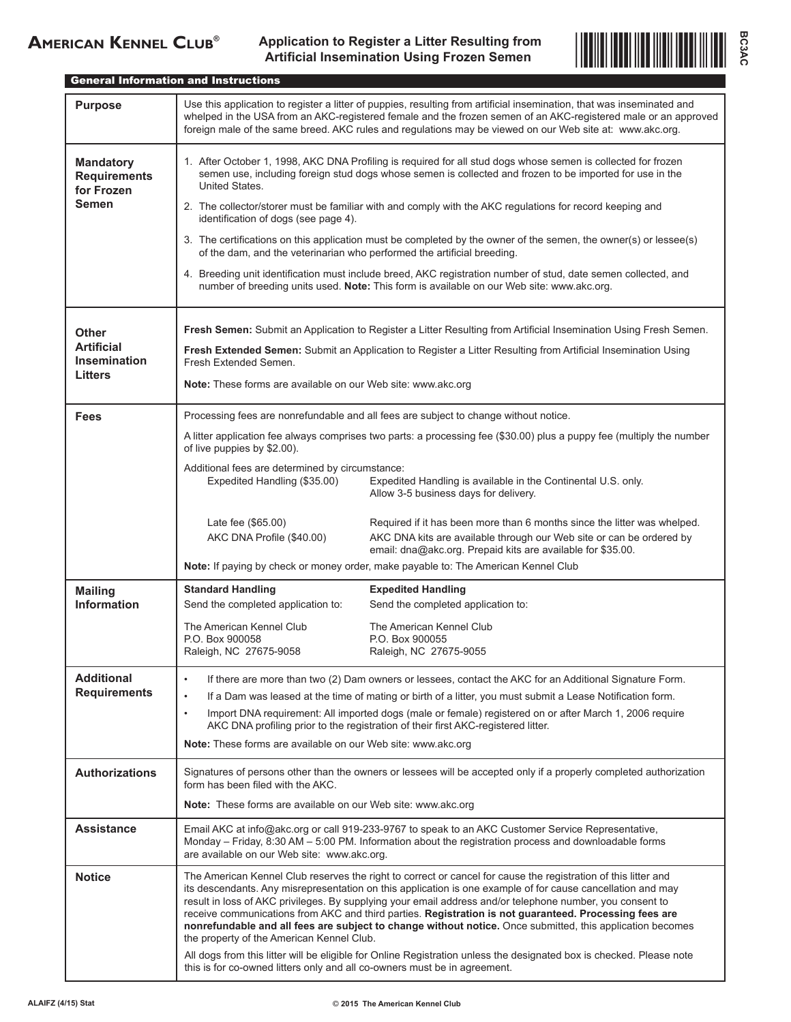

General Information and Instructions

| <b>Purpose</b>                                                        | Use this application to register a litter of puppies, resulting from artificial insemination, that was inseminated and<br>whelped in the USA from an AKC-registered female and the frozen semen of an AKC-registered male or an approved<br>foreign male of the same breed. AKC rules and regulations may be viewed on our Web site at: www.akc.org.                                                                                                                                                                                                                                                                                                                                                                                                                                                                |  |  |  |  |
|-----------------------------------------------------------------------|---------------------------------------------------------------------------------------------------------------------------------------------------------------------------------------------------------------------------------------------------------------------------------------------------------------------------------------------------------------------------------------------------------------------------------------------------------------------------------------------------------------------------------------------------------------------------------------------------------------------------------------------------------------------------------------------------------------------------------------------------------------------------------------------------------------------|--|--|--|--|
| <b>Mandatory</b><br><b>Requirements</b><br>for Frozen<br><b>Semen</b> | 1. After October 1, 1998, AKC DNA Profiling is required for all stud dogs whose semen is collected for frozen<br>semen use, including foreign stud dogs whose semen is collected and frozen to be imported for use in the<br>United States.<br>2. The collector/storer must be familiar with and comply with the AKC regulations for record keeping and<br>identification of dogs (see page 4).<br>3. The certifications on this application must be completed by the owner of the semen, the owner(s) or lessee(s)<br>of the dam, and the veterinarian who performed the artificial breeding.<br>4. Breeding unit identification must include breed, AKC registration number of stud, date semen collected, and<br>number of breeding units used. Note: This form is available on our Web site: www.akc.org.       |  |  |  |  |
| Other<br><b>Artificial</b><br>Insemination<br><b>Litters</b>          | Fresh Semen: Submit an Application to Register a Litter Resulting from Artificial Insemination Using Fresh Semen.<br>Fresh Extended Semen: Submit an Application to Register a Litter Resulting from Artificial Insemination Using<br>Fresh Extended Semen.<br>Note: These forms are available on our Web site: www.akc.org                                                                                                                                                                                                                                                                                                                                                                                                                                                                                         |  |  |  |  |
| Fees                                                                  | Processing fees are nonrefundable and all fees are subject to change without notice.<br>A litter application fee always comprises two parts: a processing fee (\$30.00) plus a puppy fee (multiply the number<br>of live puppies by \$2.00).<br>Additional fees are determined by circumstance:<br>Expedited Handling (\$35.00)<br>Expedited Handling is available in the Continental U.S. only.<br>Allow 3-5 business days for delivery.                                                                                                                                                                                                                                                                                                                                                                           |  |  |  |  |
|                                                                       | Required if it has been more than 6 months since the litter was whelped.<br>Late fee (\$65.00)<br>AKC DNA Profile (\$40.00)<br>AKC DNA kits are available through our Web site or can be ordered by<br>email: dna@akc.org. Prepaid kits are available for \$35.00.<br>Note: If paying by check or money order, make payable to: The American Kennel Club                                                                                                                                                                                                                                                                                                                                                                                                                                                            |  |  |  |  |
| <b>Mailing</b><br><b>Information</b>                                  | <b>Standard Handling</b><br><b>Expedited Handling</b><br>Send the completed application to:<br>Send the completed application to:<br>The American Kennel Club<br>The American Kennel Club<br>P.O. Box 900058<br>P.O. Box 900055<br>Raleigh, NC 27675-9058<br>Raleigh, NC 27675-9055                                                                                                                                                                                                                                                                                                                                                                                                                                                                                                                                 |  |  |  |  |
| <b>Additional</b><br><b>Requirements</b>                              | If there are more than two (2) Dam owners or lessees, contact the AKC for an Additional Signature Form.<br>$\bullet$<br>If a Dam was leased at the time of mating or birth of a litter, you must submit a Lease Notification form.<br>$\bullet$<br>Import DNA requirement: All imported dogs (male or female) registered on or after March 1, 2006 require<br>$\bullet$<br>AKC DNA profiling prior to the registration of their first AKC-registered litter.<br>Note: These forms are available on our Web site: www.akc.org                                                                                                                                                                                                                                                                                        |  |  |  |  |
| <b>Authorizations</b>                                                 | Signatures of persons other than the owners or lessees will be accepted only if a properly completed authorization<br>form has been filed with the AKC.<br><b>Note:</b> These forms are available on our Web site: www.akc.org                                                                                                                                                                                                                                                                                                                                                                                                                                                                                                                                                                                      |  |  |  |  |
| <b>Assistance</b>                                                     | Email AKC at info@akc.org or call 919-233-9767 to speak to an AKC Customer Service Representative,<br>Monday - Friday, 8:30 AM - 5:00 PM. Information about the registration process and downloadable forms<br>are available on our Web site: www.akc.org.                                                                                                                                                                                                                                                                                                                                                                                                                                                                                                                                                          |  |  |  |  |
| <b>Notice</b>                                                         | The American Kennel Club reserves the right to correct or cancel for cause the registration of this litter and<br>its descendants. Any misrepresentation on this application is one example of for cause cancellation and may<br>result in loss of AKC privileges. By supplying your email address and/or telephone number, you consent to<br>receive communications from AKC and third parties. Registration is not guaranteed. Processing fees are<br>nonrefundable and all fees are subject to change without notice. Once submitted, this application becomes<br>the property of the American Kennel Club.<br>All dogs from this litter will be eligible for Online Registration unless the designated box is checked. Please note<br>this is for co-owned litters only and all co-owners must be in agreement. |  |  |  |  |